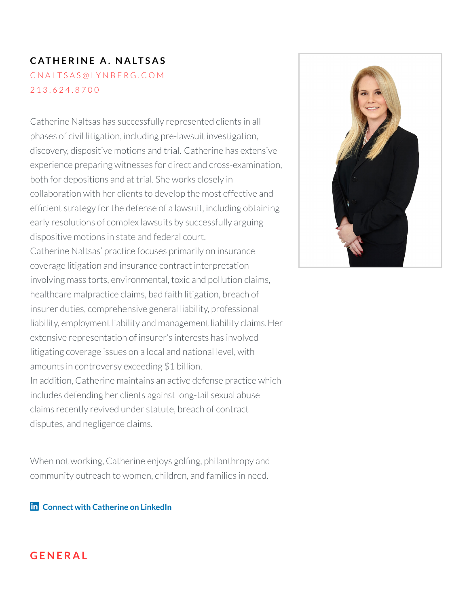# $CATHERINE A$ . **NALTSAS** C N A [LT](mailto:cnaltsas@lynberg.com) S A S @ LY N B E R G . C O M 2 1 3 . [6](tel:213.624.8700) 2 4 . 8 7 0 0

Catherine Naltsas has successfully represented clients in all phases of civil litigation, including pre-lawsuit investigation, discovery, dispositive motions and trial. Catherine has extensive experience preparing witnesses for direct and cross-examination, both for depositions and at trial. She works closely in collaboration with her clients to develop the most effective and efficient strategy for the defense of a lawsuit, including obtaining early resolutions of complex lawsuits by successfully arguing dispositive motions in state and federal court. Catherine Naltsas' practice focuses primarily on insurance coverage litigation and insurance contract interpretation involving mass torts, environmental, toxic and pollution claims, healthcare malpractice claims, bad faith litigation, breach of insurer duties, comprehensive general liability, professional liability, employment liability and management liability claims.Her extensive representation of insurer's interests has involved litigating coverage issues on a local and national level, with amounts in controversy exceeding \$1 billion. In addition, Catherine maintains an active defense practice which includes defending her clients against long-tail sexual abuse claims recently revived under statute, breach of contract disputes, and negligence claims.

When not working, Catherine enjoys golfing, philanthropy and community outreach to women, children, and families in need.

**Connect with [Catherine](https://www.linkedin.com/in/catherine-naltsas-17a87056/) on LinkedIn**



#### **G E N E R A L**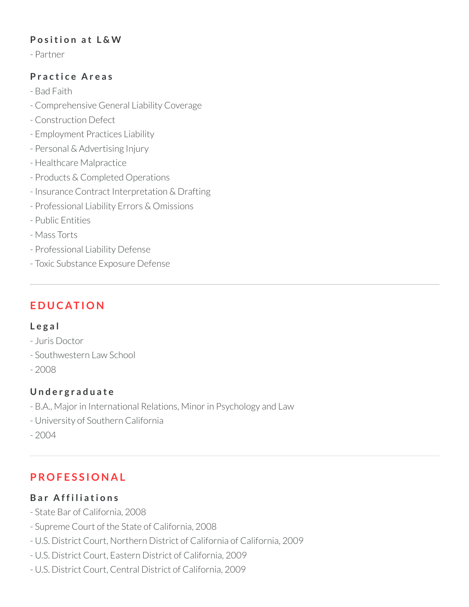### **P o s iti o n a t L & W**

- Partner

### **P r a c ti c e A r e a s**

- Bad Faith
- Comprehensive General Liability Coverage
- Construction Defect
- Employment Practices Liability
- Personal & Advertising Injury
- Healthcare Malpractice
- Products & Completed Operations
- Insurance Contract Interpretation & Drafting
- Professional Liability Errors & Omissions
- Public Entities
- Mass Torts
- Professional Liability Defense
- Toxic Substance Exposure Defense

# **E D U C AT I O N**

#### **L e g a l**

- Juris Doctor
- Southwestern Law School
- 2008

## **U n d e r g r a d u a t e**

- B.A., Major in International Relations, Minor in Psychology and Law
- University of Southern California
- 2004

# **P RO F E S S I O N A L**

## **B a r A f f i l i a ti o n s**

- State Bar of California, 2008
- Supreme Court of the State of California, 2008
- U.S. District Court, Northern District of California of California, 2009
- U.S. District Court, Eastern District of California, 2009
- U.S. District Court, Central District of California, 2009